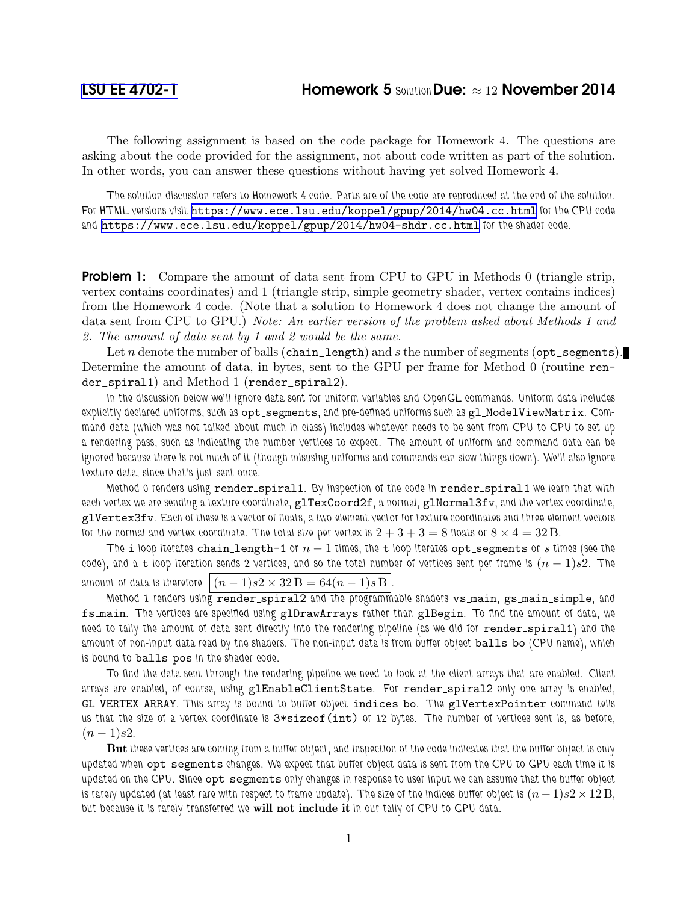## [LSU EE 4702-1](https://www.ece.lsu.edu/koppel/gpup/) **Homework 5 Solution Due:**  $\approx 12$  **November 2014**

The following assignment is based on the code package for Homework 4. The questions are asking about the code provided for the assignment, not about code written as part of the solution. In other words, you can answer these questions without having yet solved Homework 4.

The solution discussion refers to Homework 4 code. Parts are of the code are reproduced at the end of the solution. For HTML versions visit <https://www.ece.lsu.edu/koppel/gpup/2014/hw04.cc.html> for the CPU code and <https://www.ece.lsu.edu/koppel/gpup/2014/hw04-shdr.cc.html> for the shader code.

**Problem 1:** Compare the amount of data sent from CPU to GPU in Methods 0 (triangle strip, vertex contains coordinates) and 1 (triangle strip, simple geometry shader, vertex contains indices) from the Homework 4 code. (Note that a solution to Homework 4 does not change the amount of data sent from CPU to GPU.) Note: An earlier version of the problem asked about Methods 1 and 2. The amount of data sent by 1 and 2 would be the same.

Let n denote the number of balls (chain\_length) and s the number of segments (opt\_segments). Determine the amount of data, in bytes, sent to the GPU per frame for Method 0 (routine render\_spiral1) and Method 1 (render\_spiral2).

In the discussion below we'll ignore data sent for uniform variables and OpenGL commands. Uniform data includes explicitly declared uniforms, such as opt\_segments, and pre-defined uniforms such as gl\_ModelViewMatrix. Command data (which was not talked about much in class) includes whatever needs to be sent from CPU to GPU to set up a rendering pass, such as indicating the number vertices to expect. The amount of uniform and command data can be ignored because there is not much of it (though misusing uniforms and commands can slow things down). We'll also ignore texture data, since that's just sent once.

Method 0 renders using render\_spiral1. By inspection of the code in render\_spiral1 we learn that with each vertex we are sending a texture coordinate, glTexCoord2f, a normal, glNormal3fv, and the vertex coordinate, glVertex3fv. Each of these is a vector of floats, a two-element vector for texture coordinates and three-element vectors for the normal and vertex coordinate. The total size per vertex is  $2+3+3=8$  floats or  $8\times 4=32$  B.

The i loop iterates chain length-1 or  $n-1$  times, the t loop iterates opt segments or s times (see the code), and a t loop iteration sends 2 vertices, and so the total number of vertices sent per frame is  $(n-1)s2$ . The amount of data is therefore  $|(n-1)s2 \times 32 \text{ B} = 64(n-1)s \text{ B}$ .

Method 1 renders using render spiral2 and the programmable shaders vs main, gs main simple, and fs main. The vertices are specified using glDrawArrays rather than glBegin. To find the amount of data, we need to tally the amount of data sent directly into the rendering pipeline (as we did for render\_spiral1) and the amount of non-input data read by the shaders. The non-input data is from buffer object balls\_bo (CPU name), which is bound to balls\_pos in the shader code.

To find the data sent through the rendering pipeline we need to look at the client arrays that are enabled. Client arrays are enabled, of course, using glEnableClientState. For render spiral2 only one array is enabled, GL VERTEX ARRAY. This array is bound to buffer object indices bo. The glVertexPointer command tells us that the size of a vertex coordinate is  $3*sizeof(int)$  or 12 bytes. The number of vertices sent is, as before,  $(n-1)s2$ .

But these vertices are coming from a buffer object, and inspection of the code indicates that the buffer object is only updated when opt\_segments changes. We expect that buffer object data is sent from the CPU to GPU each time it is updated on the CPU. Since opt\_segments only changes in response to user input we can assume that the buffer object is rarely updated (at least rare with respect to frame update). The size of the indices buffer object is  $(n-1)s2\times12$  B, but because it is rarely transferred we will not include it in our tally of CPU to GPU data.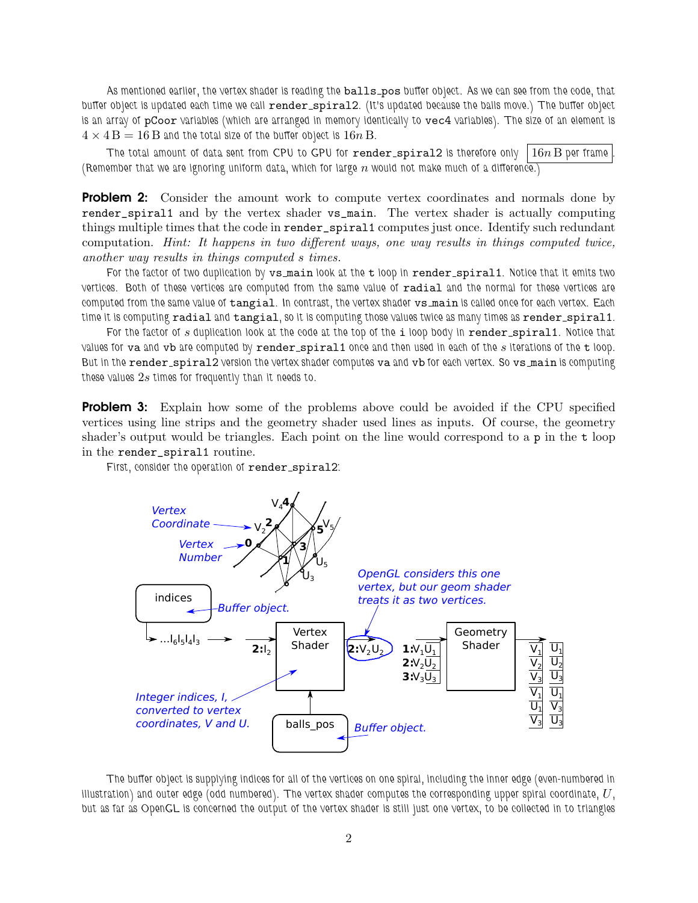As mentioned earlier, the vertex shader is reading the balls\_pos buffer object. As we can see from the code, that buffer object is updated each time we call render\_spiral2. (It's updated because the balls move.) The buffer object is an array of pCoor variables (which are arranged in memory identically to vec4 variables). The size of an element is  $4 \times 4 \,\mathrm{B} = 16 \,\mathrm{B}$  and the total size of the buffer object is  $16n \,\mathrm{B}$ .

The total amount of data sent from CPU to GPU for render spiral2 is therefore only  $\mid 16n \text{ B}$  per frame (Remember that we are ignoring uniform data, which for large  $n$  would not make much of a difference.)

**Problem 2:** Consider the amount work to compute vertex coordinates and normals done by render\_spiral1 and by the vertex shader vs\_main. The vertex shader is actually computing things multiple times that the code in render\_spiral1 computes just once. Identify such redundant computation. Hint: It happens in two different ways, one way results in things computed twice, another way results in things computed s times.

For the factor of two duplication by  $v$ s main look at the t loop in render spiral1. Notice that it emits two vertices. Both of these vertices are computed from the same value of radial and the normal for these vertices are computed from the same value of tangial. In contrast, the vertex shader vs\_main is called once for each vertex. Each time it is computing radial and tangial, so it is computing those values twice as many times as render\_spiral1.

For the factor of  $s$  duplication look at the code at the top of the i loop body in render\_spiral1. Notice that values for va and vb are computed by render spiral1 once and then used in each of the  $s$  iterations of the  $t$  loop. But in the render\_spiral2 version the vertex shader computes va and vb for each vertex. So vs\_main is computing these values  $2s$  times for frequently than it needs to.

**Problem 3:** Explain how some of the problems above could be avoided if the CPU specified vertices using line strips and the geometry shader used lines as inputs. Of course, the geometry shader's output would be triangles. Each point on the line would correspond to a p in the t loop in the render\_spiral1 routine.

First, consider the operation of render\_spiral2:



The buffer object is supplying indices for all of the vertices on one spiral, including the inner edge (even-numbered in illustration) and outer edge (odd numbered). The vertex shader computes the corresponding upper spiral coordinate,  $U$ , but as far as OpenGL is concerned the output of the vertex shader is still just one vertex, to be collected in to triangles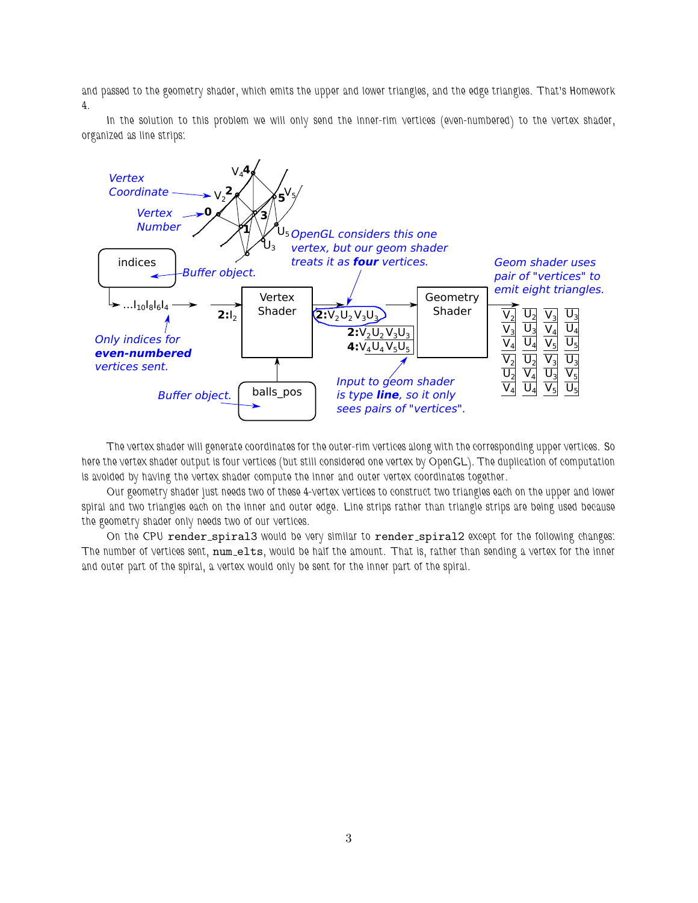and passed to the geometry shader, which emits the upper and lower triangles, and the edge triangles. That's Homework 4.

In the solution to this problem we will only send the inner-rim vertices (even-numbered) to the vertex shader, organized as line strips:



The vertex shader will generate coordinates for the outer-rim vertices along with the corresponding upper vertices. So here the vertex shader output is four vertices (but still considered one vertex by OpenGL). The duplication of computation is avoided by having the vertex shader compute the inner and outer vertex coordinates together.

Our geometry shader just needs two of these 4-vertex vertices to construct two triangles each on the upper and lower spiral and two triangles each on the inner and outer edge. Line strips rather than triangle strips are being used because the geometry shader only needs two of our vertices.

On the CPU render\_spiral3 would be very similar to render\_spiral2 except for the following changes: The number of vertices sent, num\_elts, would be half the amount. That is, rather than sending a vertex for the inner and outer part of the spiral, a vertex would only be sent for the inner part of the spiral.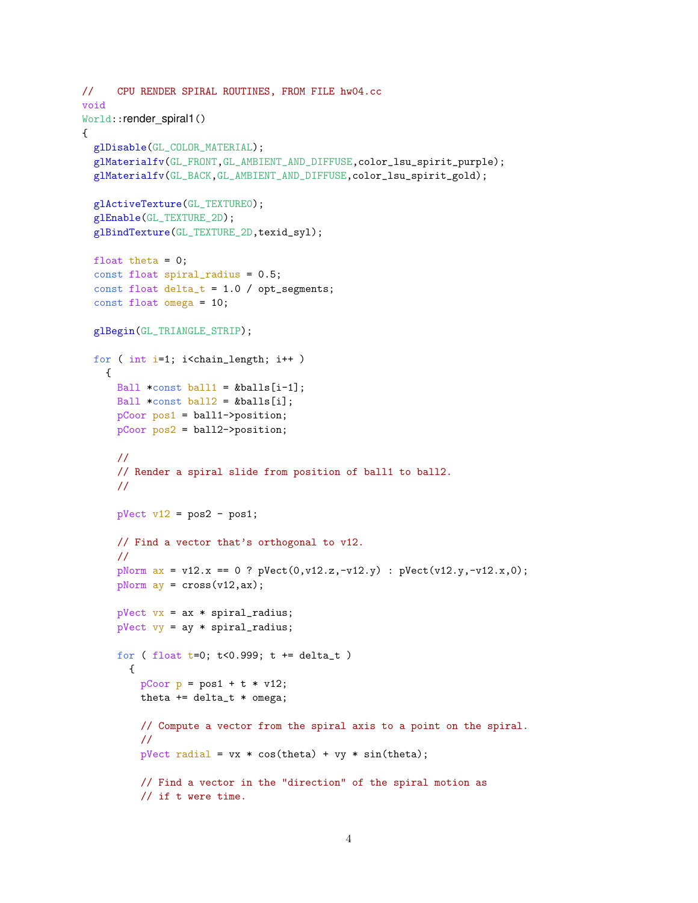```
// CPU RENDER SPIRAL ROUTINES, FROM FILE hw04.cc
void
World::render_spiral1()
{
 glDisable(GL_COLOR_MATERIAL);
 glMaterialfv(GL_FRONT,GL_AMBIENT_AND_DIFFUSE,color_lsu_spirit_purple);
  glMaterialfv(GL_BACK,GL_AMBIENT_AND_DIFFUSE,color_lsu_spirit_gold);
 glActiveTexture(GL_TEXTURE0);
  glEnable(GL_TEXTURE_2D);
  glBindTexture(GL_TEXTURE_2D,texid_syl);
 float theta = 0;
  const float spiral_radius = 0.5;
  const float delta_t = 1.0 / opt_segments;
  const float omega = 10;
 glBegin(GL_TRIANGLE_STRIP);
 for ( int i=1; i<chain_length; i++ )
   \left\{ \right.Ball *const ball1 = &balls[i-1];
     Ball *const ball2 = &balls[i];
     pCoor pos1 = ball1->position;
     pCoor pos2 = ball2->position;
      //
     // Render a spiral slide from position of ball1 to ball2.
      //
     pVect v12 = pos2 - pos1;
     // Find a vector that's orthogonal to v12.
      //
      pNorm ax = v12.x == 0 ? pVect(0, v12.z, -v12.y) : pVect(v12.y, -v12.x, 0);
      pNorm ay = cross(v12,ax);
      pVect vx = ax * spiral_r radius;pVect vy = ay * spiral_radius;
      for ( float t=0; t<0.999; t = delta_t )
        {
          pCoor p = pos1 + t * v12;theta += delta_t * omega;
          // Compute a vector from the spiral axis to a point on the spiral.
          //
          pVect radial = vx * cos(theta) + vy * sin(theta);// Find a vector in the "direction" of the spiral motion as
          // if t were time.
```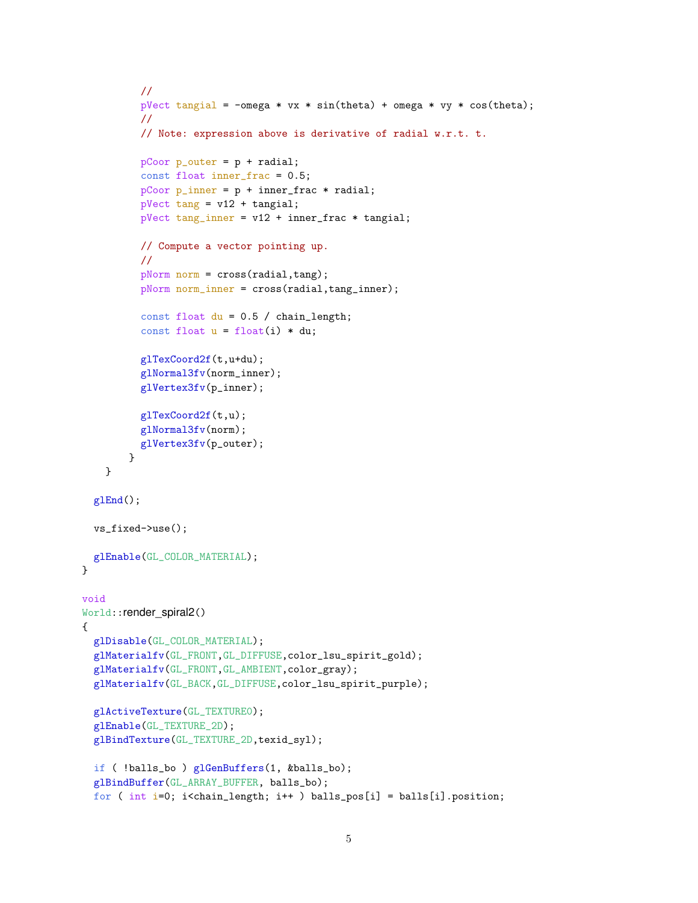```
//
          pVect tangial = -omega * vx * sin(theta) + omega * vy * cos(theta);
          //
          // Note: expression above is derivative of radial w.r.t. t.
          pCoor p_outer = p + radial;
          const float inner_frac = 0.5;
          pCoor p_name = p + innerfrac * radial;
          pVect tang = v12 + tangial;pVect tang_inner = v12 + inner_frac * tangial;
          // Compute a vector pointing up.
          //
          pNorm norm = cross(radial, tang);
          pNorm norm_inner = cross(radial,tang_inner);
          const float du = 0.5 / chain_length;const float u = float(i) * du;glTexCoord2f(t,u+du);
          glNormal3fv(norm_inner);
          glVertex3fv(p_inner);
          glTexCoord2f(t,u);
          glNormal3fv(norm);
          glVertex3fv(p_outer);
       }
   }
 glEnd();
 vs_fixed->use();
 glEnable(GL_COLOR_MATERIAL);
void
World::render_spiral2()
 glDisable(GL_COLOR_MATERIAL);
 glMaterialfv(GL_FRONT,GL_DIFFUSE,color_lsu_spirit_gold);
  glMaterialfv(GL_FRONT,GL_AMBIENT,color_gray);
  glMaterialfv(GL_BACK,GL_DIFFUSE,color_lsu_spirit_purple);
  glActiveTexture(GL_TEXTURE0);
  glEnable(GL_TEXTURE_2D);
  glBindTexture(GL_TEXTURE_2D,texid_syl);
  if ( !balls_bo ) glGenBuffers(1, &balls_bo);
  glBindBuffer(GL_ARRAY_BUFFER, balls_bo);
  for ( int i=0; i<chain_length; i++ ) balls_pos[i] = balls[i].position;
```
}

{